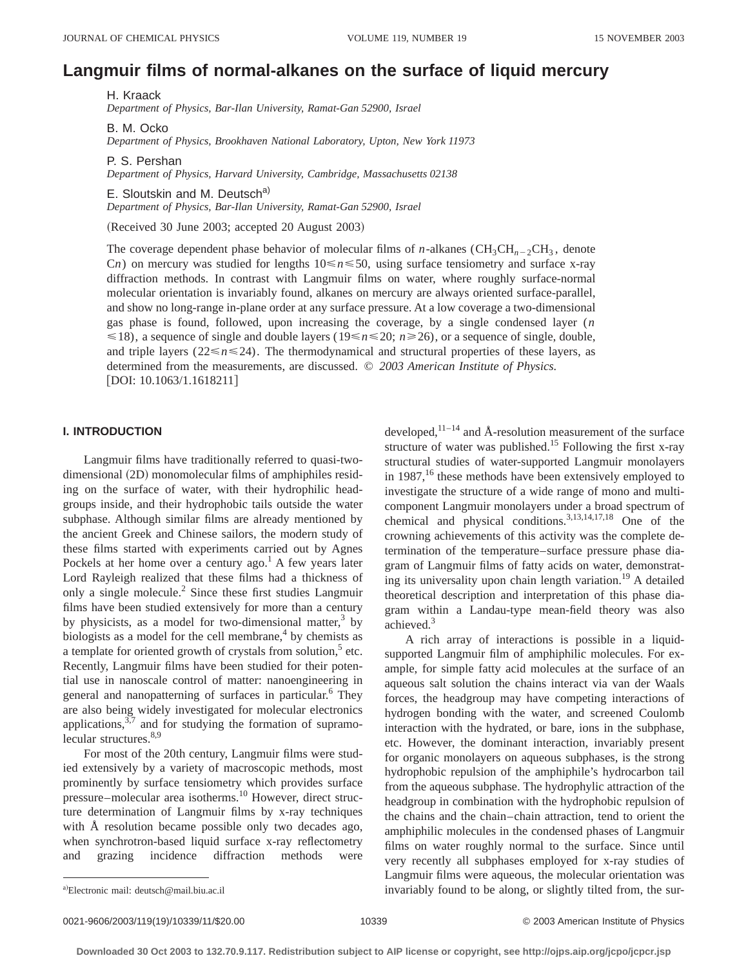# **Langmuir films of normal-alkanes on the surface of liquid mercury**

H. Kraack *Department of Physics, Bar-Ilan University, Ramat-Gan 52900, Israel*

B. M. Ocko *Department of Physics, Brookhaven National Laboratory, Upton, New York 11973*

P. S. Pershan *Department of Physics, Harvard University, Cambridge, Massachusetts 02138*

E. Sloutskin and M. Deutsch<sup>a)</sup> *Department of Physics, Bar-Ilan University, Ramat-Gan 52900, Israel*

(Received 30 June 2003; accepted 20 August 2003)

The coverage dependent phase behavior of molecular films of *n*-alkanes ( $CH_3CH_{n-2}CH_3$ , denote Cn) on mercury was studied for lengths  $10 \le n \le 50$ , using surface tensiometry and surface x-ray diffraction methods. In contrast with Langmuir films on water, where roughly surface-normal molecular orientation is invariably found, alkanes on mercury are always oriented surface-parallel, and show no long-range in-plane order at any surface pressure. At a low coverage a two-dimensional gas phase is found, followed, upon increasing the coverage, by a single condensed layer (*n*  $\leq$ 18), a sequence of single and double layers (19 $\leq$ *n* $\leq$ 20; *n* $\geq$ 26), or a sequence of single, double, and triple layers ( $22 \le n \le 24$ ). The thermodynamical and structural properties of these layers, as determined from the measurements, are discussed. © *2003 American Institute of Physics.*  $[$ DOI: 10.1063/1.1618211 $]$ 

# **I. INTRODUCTION**

Langmuir films have traditionally referred to quasi-twodimensional (2D) monomolecular films of amphiphiles residing on the surface of water, with their hydrophilic headgroups inside, and their hydrophobic tails outside the water subphase. Although similar films are already mentioned by the ancient Greek and Chinese sailors, the modern study of these films started with experiments carried out by Agnes Pockels at her home over a century ago.<sup>1</sup> A few years later Lord Rayleigh realized that these films had a thickness of only a single molecule.2 Since these first studies Langmuir films have been studied extensively for more than a century by physicists, as a model for two-dimensional matter, $3$  by biologists as a model for the cell membrane, $4$  by chemists as a template for oriented growth of crystals from solution, $5$  etc. Recently, Langmuir films have been studied for their potential use in nanoscale control of matter: nanoengineering in general and nanopatterning of surfaces in particular.<sup>6</sup> They are also being widely investigated for molecular electronics applications,  $3\frac{3}{7}$  and for studying the formation of supramolecular structures.<sup>8,9</sup>

For most of the 20th century, Langmuir films were studied extensively by a variety of macroscopic methods, most prominently by surface tensiometry which provides surface pressure–molecular area isotherms.10 However, direct structure determination of Langmuir films by x-ray techniques with Å resolution became possible only two decades ago, when synchrotron-based liquid surface x-ray reflectometry and grazing incidence diffraction methods were developed, $11-14$  and Å-resolution measurement of the surface structure of water was published.<sup>15</sup> Following the first x-ray structural studies of water-supported Langmuir monolayers in  $1987$ ,<sup>16</sup> these methods have been extensively employed to investigate the structure of a wide range of mono and multicomponent Langmuir monolayers under a broad spectrum of chemical and physical conditions.3,13,14,17,18 One of the crowning achievements of this activity was the complete determination of the temperature–surface pressure phase diagram of Langmuir films of fatty acids on water, demonstrating its universality upon chain length variation.<sup>19</sup> A detailed theoretical description and interpretation of this phase diagram within a Landau-type mean-field theory was also achieved.3

A rich array of interactions is possible in a liquidsupported Langmuir film of amphiphilic molecules. For example, for simple fatty acid molecules at the surface of an aqueous salt solution the chains interact via van der Waals forces, the headgroup may have competing interactions of hydrogen bonding with the water, and screened Coulomb interaction with the hydrated, or bare, ions in the subphase, etc. However, the dominant interaction, invariably present for organic monolayers on aqueous subphases, is the strong hydrophobic repulsion of the amphiphile's hydrocarbon tail from the aqueous subphase. The hydrophylic attraction of the headgroup in combination with the hydrophobic repulsion of the chains and the chain–chain attraction, tend to orient the amphiphilic molecules in the condensed phases of Langmuir films on water roughly normal to the surface. Since until very recently all subphases employed for x-ray studies of Langmuir films were aqueous, the molecular orientation was invariably found to be along, or slightly tilted from, the sur-

0021-9606/2003/119(19)/10339/11/\$20.00 10339 0021-9606/2003/119(19)/10339 0021-9606/2003/119(19)/10339/11/\$20

a)Electronic mail: deutsch@mail.biu.ac.il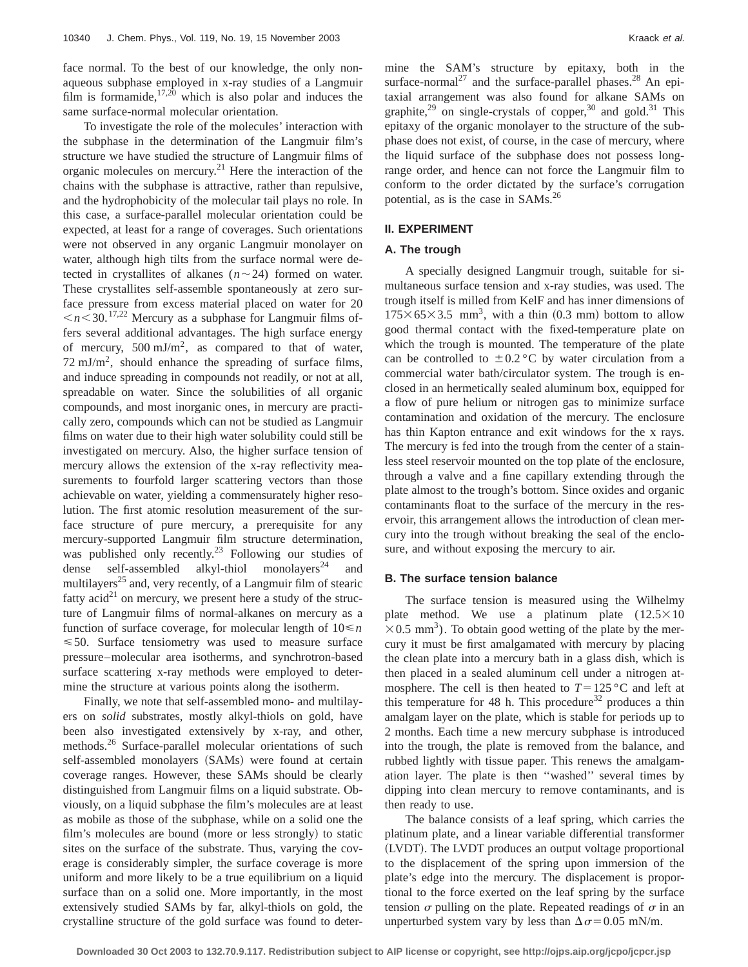face normal. To the best of our knowledge, the only nonaqueous subphase employed in x-ray studies of a Langmuir film is formamide,  $17,20$  which is also polar and induces the same surface-normal molecular orientation.

To investigate the role of the molecules' interaction with the subphase in the determination of the Langmuir film's structure we have studied the structure of Langmuir films of organic molecules on mercury.<sup>21</sup> Here the interaction of the chains with the subphase is attractive, rather than repulsive, and the hydrophobicity of the molecular tail plays no role. In this case, a surface-parallel molecular orientation could be expected, at least for a range of coverages. Such orientations were not observed in any organic Langmuir monolayer on water, although high tilts from the surface normal were detected in crystallites of alkanes  $(n \sim 24)$  formed on water. These crystallites self-assemble spontaneously at zero surface pressure from excess material placed on water for 20  $\leq n \leq 30$ .<sup>17,22</sup> Mercury as a subphase for Langmuir films offers several additional advantages. The high surface energy of mercury,  $500 \text{ mJ/m}^2$ , as compared to that of water,  $72 \text{ mJ/m}^2$ , should enhance the spreading of surface films, and induce spreading in compounds not readily, or not at all, spreadable on water. Since the solubilities of all organic compounds, and most inorganic ones, in mercury are practically zero, compounds which can not be studied as Langmuir films on water due to their high water solubility could still be investigated on mercury. Also, the higher surface tension of mercury allows the extension of the x-ray reflectivity measurements to fourfold larger scattering vectors than those achievable on water, yielding a commensurately higher resolution. The first atomic resolution measurement of the surface structure of pure mercury, a prerequisite for any mercury-supported Langmuir film structure determination, was published only recently.<sup>23</sup> Following our studies of dense self-assembled alkyl-thiol monolayers<sup>24</sup> and multilayers<sup>25</sup> and, very recently, of a Langmuir film of stearic fatty acid<sup>21</sup> on mercury, we present here a study of the structure of Langmuir films of normal-alkanes on mercury as a function of surface coverage, for molecular length of 10<*n*  $\leq 50$ . Surface tensiometry was used to measure surface pressure–molecular area isotherms, and synchrotron-based surface scattering x-ray methods were employed to determine the structure at various points along the isotherm.

Finally, we note that self-assembled mono- and multilayers on *solid* substrates, mostly alkyl-thiols on gold, have been also investigated extensively by x-ray, and other, methods.<sup>26</sup> Surface-parallel molecular orientations of such self-assembled monolayers (SAMs) were found at certain coverage ranges. However, these SAMs should be clearly distinguished from Langmuir films on a liquid substrate. Obviously, on a liquid subphase the film's molecules are at least as mobile as those of the subphase, while on a solid one the film's molecules are bound (more or less strongly) to static sites on the surface of the substrate. Thus, varying the coverage is considerably simpler, the surface coverage is more uniform and more likely to be a true equilibrium on a liquid surface than on a solid one. More importantly, in the most extensively studied SAMs by far, alkyl-thiols on gold, the crystalline structure of the gold surface was found to determine the SAM's structure by epitaxy, both in the surface-normal<sup>27</sup> and the surface-parallel phases.<sup>28</sup> An epitaxial arrangement was also found for alkane SAMs on graphite,<sup>29</sup> on single-crystals of copper,<sup>30</sup> and gold.<sup>31</sup> This epitaxy of the organic monolayer to the structure of the subphase does not exist, of course, in the case of mercury, where the liquid surface of the subphase does not possess longrange order, and hence can not force the Langmuir film to conform to the order dictated by the surface's corrugation potential, as is the case in SAMs.<sup>26</sup>

# **II. EXPERIMENT**

## **A. The trough**

A specially designed Langmuir trough, suitable for simultaneous surface tension and x-ray studies, was used. The trough itself is milled from KelF and has inner dimensions of  $175\times65\times3.5$  mm<sup>3</sup>, with a thin (0.3 mm) bottom to allow good thermal contact with the fixed-temperature plate on which the trough is mounted. The temperature of the plate can be controlled to  $\pm 0.2$  °C by water circulation from a commercial water bath/circulator system. The trough is enclosed in an hermetically sealed aluminum box, equipped for a flow of pure helium or nitrogen gas to minimize surface contamination and oxidation of the mercury. The enclosure has thin Kapton entrance and exit windows for the x rays. The mercury is fed into the trough from the center of a stainless steel reservoir mounted on the top plate of the enclosure, through a valve and a fine capillary extending through the plate almost to the trough's bottom. Since oxides and organic contaminants float to the surface of the mercury in the reservoir, this arrangement allows the introduction of clean mercury into the trough without breaking the seal of the enclosure, and without exposing the mercury to air.

# **B. The surface tension balance**

The surface tension is measured using the Wilhelmy plate method. We use a platinum plate  $(12.5\times10)$  $\times$ 0.5 mm<sup>3</sup>). To obtain good wetting of the plate by the mercury it must be first amalgamated with mercury by placing the clean plate into a mercury bath in a glass dish, which is then placed in a sealed aluminum cell under a nitrogen atmosphere. The cell is then heated to  $T=125 \degree C$  and left at this temperature for 48 h. This procedure<sup>32</sup> produces a thin amalgam layer on the plate, which is stable for periods up to 2 months. Each time a new mercury subphase is introduced into the trough, the plate is removed from the balance, and rubbed lightly with tissue paper. This renews the amalgamation layer. The plate is then ''washed'' several times by dipping into clean mercury to remove contaminants, and is then ready to use.

The balance consists of a leaf spring, which carries the platinum plate, and a linear variable differential transformer (LVDT). The LVDT produces an output voltage proportional to the displacement of the spring upon immersion of the plate's edge into the mercury. The displacement is proportional to the force exerted on the leaf spring by the surface tension  $\sigma$  pulling on the plate. Repeated readings of  $\sigma$  in an unperturbed system vary by less than  $\Delta \sigma$  = 0.05 mN/m.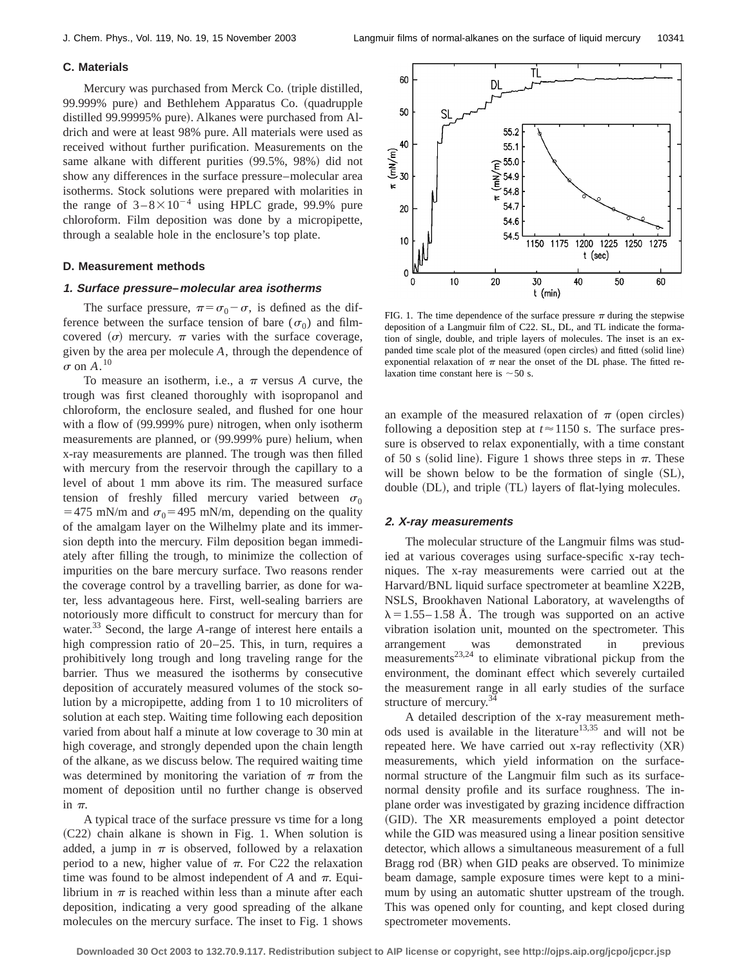## **C. Materials**

Mercury was purchased from Merck Co. (triple distilled, 99.999% pure) and Bethlehem Apparatus Co. (quadrupple distilled 99.99995% pure). Alkanes were purchased from Aldrich and were at least 98% pure. All materials were used as received without further purification. Measurements on the same alkane with different purities (99.5%, 98%) did not show any differences in the surface pressure–molecular area isotherms. Stock solutions were prepared with molarities in the range of  $3-8\times10^{-4}$  using HPLC grade, 99.9% pure chloroform. Film deposition was done by a micropipette, through a sealable hole in the enclosure's top plate.

#### **D. Measurement methods**

#### **1. Surface pressure–molecular area isotherms**

The surface pressure,  $\pi = \sigma_0 - \sigma$ , is defined as the difference between the surface tension of bare ( $\sigma_0$ ) and filmcovered  $(\sigma)$  mercury.  $\pi$  varies with the surface coverage, given by the area per molecule *A*, through the dependence of  $\sigma$  on  $A^{10}$ 

To measure an isotherm, i.e., a  $\pi$  versus *A* curve, the trough was first cleaned thoroughly with isopropanol and chloroform, the enclosure sealed, and flushed for one hour with a flow of  $(99.999\%$  pure) nitrogen, when only isotherm measurements are planned, or (99.999% pure) helium, when x-ray measurements are planned. The trough was then filled with mercury from the reservoir through the capillary to a level of about 1 mm above its rim. The measured surface tension of freshly filled mercury varied between  $\sigma_0$ =475 mN/m and  $\sigma_0$ =495 mN/m, depending on the quality of the amalgam layer on the Wilhelmy plate and its immersion depth into the mercury. Film deposition began immediately after filling the trough, to minimize the collection of impurities on the bare mercury surface. Two reasons render the coverage control by a travelling barrier, as done for water, less advantageous here. First, well-sealing barriers are notoriously more difficult to construct for mercury than for water.<sup>33</sup> Second, the large *A*-range of interest here entails a high compression ratio of 20–25. This, in turn, requires a prohibitively long trough and long traveling range for the barrier. Thus we measured the isotherms by consecutive deposition of accurately measured volumes of the stock solution by a micropipette, adding from 1 to 10 microliters of solution at each step. Waiting time following each deposition varied from about half a minute at low coverage to 30 min at high coverage, and strongly depended upon the chain length of the alkane, as we discuss below. The required waiting time was determined by monitoring the variation of  $\pi$  from the moment of deposition until no further change is observed in  $\pi$ .

A typical trace of the surface pressure vs time for a long  $(C22)$  chain alkane is shown in Fig. 1. When solution is added, a jump in  $\pi$  is observed, followed by a relaxation period to a new, higher value of  $\pi$ . For C22 the relaxation time was found to be almost independent of  $A$  and  $\pi$ . Equilibrium in  $\pi$  is reached within less than a minute after each deposition, indicating a very good spreading of the alkane molecules on the mercury surface. The inset to Fig. 1 shows



FIG. 1. The time dependence of the surface pressure  $\pi$  during the stepwise deposition of a Langmuir film of C22. SL, DL, and TL indicate the formation of single, double, and triple layers of molecules. The inset is an expanded time scale plot of the measured (open circles) and fitted (solid line) exponential relaxation of  $\pi$  near the onset of the DL phase. The fitted relaxation time constant here is  $\sim$  50 s.

an example of the measured relaxation of  $\pi$  (open circles) following a deposition step at  $t \approx 1150$  s. The surface pressure is observed to relax exponentially, with a time constant of 50 s (solid line). Figure 1 shows three steps in  $\pi$ . These will be shown below to be the formation of single  $(SL)$ , double (DL), and triple (TL) layers of flat-lying molecules.

## **2. X-ray measurements**

The molecular structure of the Langmuir films was studied at various coverages using surface-specific x-ray techniques. The x-ray measurements were carried out at the Harvard/BNL liquid surface spectrometer at beamline X22B, NSLS, Brookhaven National Laboratory, at wavelengths of  $\lambda = 1.55 - 1.58$  Å. The trough was supported on an active vibration isolation unit, mounted on the spectrometer. This arrangement was demonstrated in previous measurements<sup>23,24</sup> to eliminate vibrational pickup from the environment, the dominant effect which severely curtailed the measurement range in all early studies of the surface structure of mercury.<sup>34</sup>

A detailed description of the x-ray measurement methods used is available in the literature<sup>13,35</sup> and will not be repeated here. We have carried out  $x$ -ray reflectivity  $(XR)$ measurements, which yield information on the surfacenormal structure of the Langmuir film such as its surfacenormal density profile and its surface roughness. The inplane order was investigated by grazing incidence diffraction (GID). The XR measurements employed a point detector while the GID was measured using a linear position sensitive detector, which allows a simultaneous measurement of a full Bragg rod (BR) when GID peaks are observed. To minimize beam damage, sample exposure times were kept to a minimum by using an automatic shutter upstream of the trough. This was opened only for counting, and kept closed during spectrometer movements.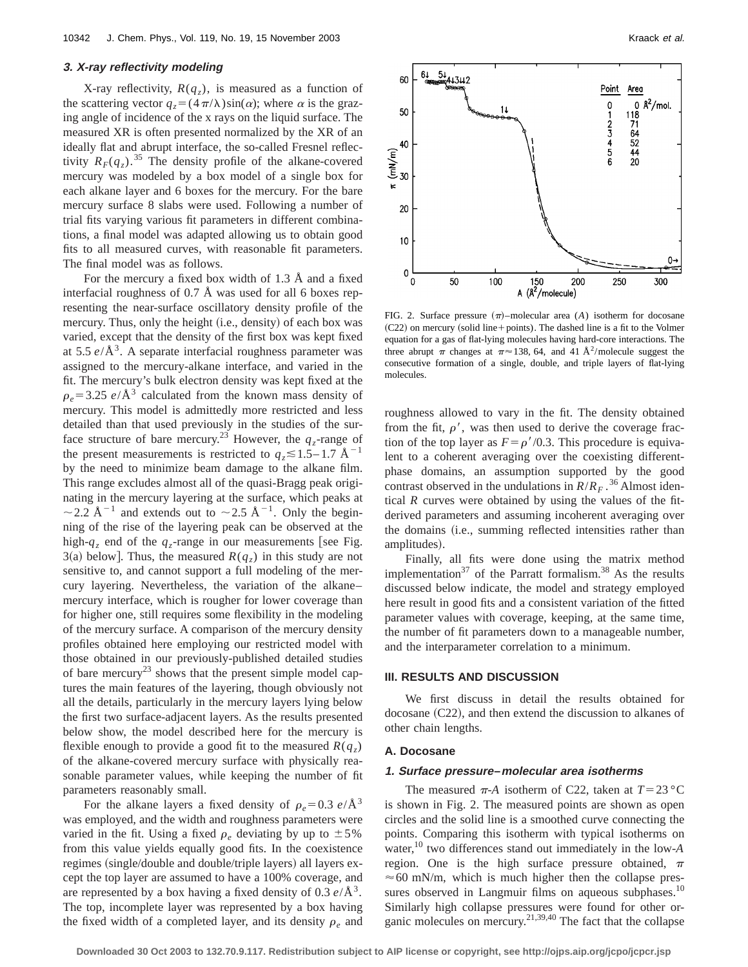## **3. X-ray reflectivity modeling**

X-ray reflectivity,  $R(q_z)$ , is measured as a function of the scattering vector  $q_z = (4\pi/\lambda)\sin(\alpha)$ ; where  $\alpha$  is the grazing angle of incidence of the x rays on the liquid surface. The measured XR is often presented normalized by the XR of an ideally flat and abrupt interface, the so-called Fresnel reflectivity  $R_F(q_z)$ .<sup>35</sup> The density profile of the alkane-covered mercury was modeled by a box model of a single box for each alkane layer and 6 boxes for the mercury. For the bare mercury surface 8 slabs were used. Following a number of trial fits varying various fit parameters in different combinations, a final model was adapted allowing us to obtain good fits to all measured curves, with reasonable fit parameters. The final model was as follows.

For the mercury a fixed box width of 1.3 Å and a fixed interfacial roughness of 0.7 Å was used for all 6 boxes representing the near-surface oscillatory density profile of the mercury. Thus, only the height (i.e., density) of each box was varied, except that the density of the first box was kept fixed at  $5.5 e/\text{\AA}^3$ . A separate interfacial roughness parameter was assigned to the mercury-alkane interface, and varied in the fit. The mercury's bulk electron density was kept fixed at the  $\rho_e$ =3.25 *e*/Å<sup>3</sup> calculated from the known mass density of mercury. This model is admittedly more restricted and less detailed than that used previously in the studies of the surface structure of bare mercury.<sup>23</sup> However, the  $q_z$ -range of the present measurements is restricted to  $q_z \leq 1.5 - 1.7 \text{ Å}^{-1}$ by the need to minimize beam damage to the alkane film. This range excludes almost all of the quasi-Bragg peak originating in the mercury layering at the surface, which peaks at  $\sim$  2.2 Å<sup>-1</sup> and extends out to  $\sim$  2.5 Å<sup>-1</sup>. Only the beginning of the rise of the layering peak can be observed at the high- $q_z$  end of the  $q_z$ -range in our measurements [see Fig. 3(a) below]. Thus, the measured  $R(q<sub>z</sub>)$  in this study are not sensitive to, and cannot support a full modeling of the mercury layering. Nevertheless, the variation of the alkane– mercury interface, which is rougher for lower coverage than for higher one, still requires some flexibility in the modeling of the mercury surface. A comparison of the mercury density profiles obtained here employing our restricted model with those obtained in our previously-published detailed studies of bare mercury<sup>23</sup> shows that the present simple model captures the main features of the layering, though obviously not all the details, particularly in the mercury layers lying below the first two surface-adjacent layers. As the results presented below show, the model described here for the mercury is flexible enough to provide a good fit to the measured  $R(q_z)$ of the alkane-covered mercury surface with physically reasonable parameter values, while keeping the number of fit parameters reasonably small.

For the alkane layers a fixed density of  $\rho_e = 0.3 \ e/\text{\AA}^3$ was employed, and the width and roughness parameters were varied in the fit. Using a fixed  $\rho_e$  deviating by up to  $\pm 5\%$ from this value yields equally good fits. In the coexistence regimes (single/double and double/triple layers) all layers except the top layer are assumed to have a 100% coverage, and are represented by a box having a fixed density of  $0.3 e/\text{\AA}^3$ . The top, incomplete layer was represented by a box having the fixed width of a completed layer, and its density  $\rho_e$  and



FIG. 2. Surface pressure  $(\pi)$ –molecular area (*A*) isotherm for docosane  $(C22)$  on mercury (solid line+points). The dashed line is a fit to the Volmer equation for a gas of flat-lying molecules having hard-core interactions. The three abrupt  $\pi$  changes at  $\pi \approx 138$ , 64, and 41 Å<sup>2</sup>/molecule suggest the consecutive formation of a single, double, and triple layers of flat-lying molecules.

roughness allowed to vary in the fit. The density obtained from the fit,  $\rho'$ , was then used to derive the coverage fraction of the top layer as  $F = \rho'/0.3$ . This procedure is equivalent to a coherent averaging over the coexisting differentphase domains, an assumption supported by the good contrast observed in the undulations in  $R/R<sub>F</sub>$ .<sup>36</sup> Almost identical *R* curves were obtained by using the values of the fitderived parameters and assuming incoherent averaging over the domains (i.e., summing reflected intensities rather than amplitudes).

Finally, all fits were done using the matrix method implementation<sup>37</sup> of the Parratt formalism.<sup>38</sup> As the results discussed below indicate, the model and strategy employed here result in good fits and a consistent variation of the fitted parameter values with coverage, keeping, at the same time, the number of fit parameters down to a manageable number, and the interparameter correlation to a minimum.

#### **III. RESULTS AND DISCUSSION**

We first discuss in detail the results obtained for docosane  $(C22)$ , and then extend the discussion to alkanes of other chain lengths.

#### **A. Docosane**

## **1. Surface pressure–molecular area isotherms**

The measured  $\pi$ -*A* isotherm of C22, taken at  $T = 23$  °C is shown in Fig. 2. The measured points are shown as open circles and the solid line is a smoothed curve connecting the points. Comparing this isotherm with typical isotherms on water,10 two differences stand out immediately in the low-*A* region. One is the high surface pressure obtained,  $\pi$  $\approx$  60 mN/m, which is much higher then the collapse pressures observed in Langmuir films on aqueous subphases.<sup>10</sup> Similarly high collapse pressures were found for other organic molecules on mercury.<sup>21,39,40</sup> The fact that the collapse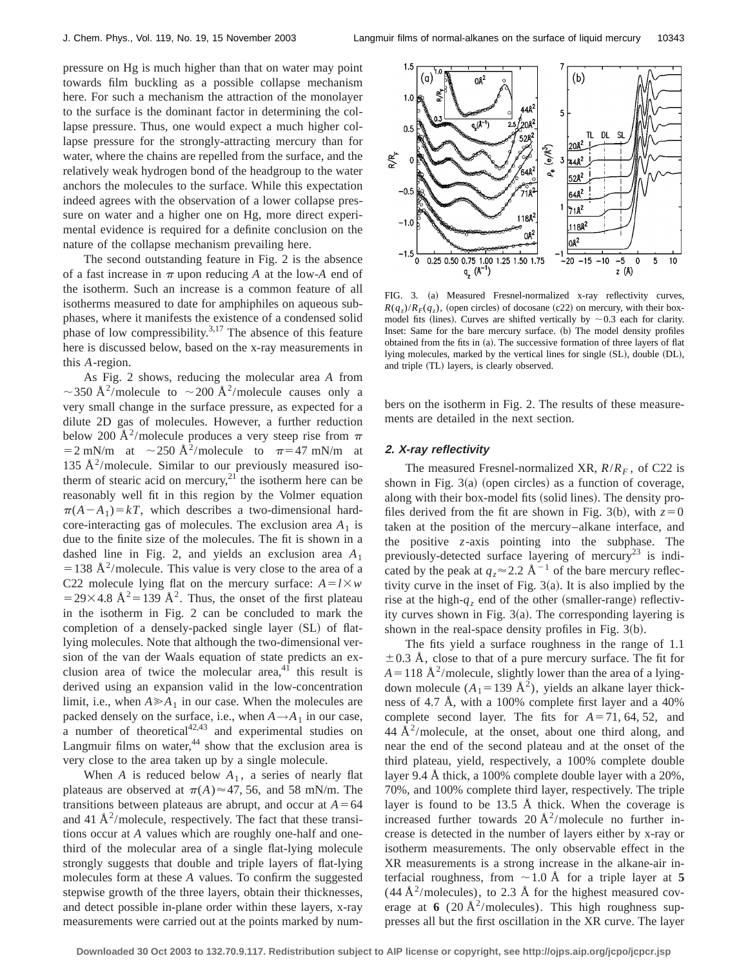pressure on Hg is much higher than that on water may point towards film buckling as a possible collapse mechanism here. For such a mechanism the attraction of the monolayer to the surface is the dominant factor in determining the collapse pressure. Thus, one would expect a much higher collapse pressure for the strongly-attracting mercury than for water, where the chains are repelled from the surface, and the relatively weak hydrogen bond of the headgroup to the water anchors the molecules to the surface. While this expectation indeed agrees with the observation of a lower collapse pressure on water and a higher one on Hg, more direct experimental evidence is required for a definite conclusion on the nature of the collapse mechanism prevailing here.

The second outstanding feature in Fig. 2 is the absence of a fast increase in  $\pi$  upon reducing *A* at the low-*A* end of the isotherm. Such an increase is a common feature of all isotherms measured to date for amphiphiles on aqueous subphases, where it manifests the existence of a condensed solid phase of low compressibility. $3,17$  The absence of this feature here is discussed below, based on the x-ray measurements in this *A*-region.

As Fig. 2 shows, reducing the molecular area *A* from  $\sim$ 350 Å<sup>2</sup>/molecule to  $\sim$ 200 Å<sup>2</sup>/molecule causes only a very small change in the surface pressure, as expected for a dilute 2D gas of molecules. However, a further reduction below 200 Å<sup>2</sup>/molecule produces a very steep rise from  $\pi$  $=2$  mN/m at  $\sim$  250 Å<sup>2</sup>/molecule to  $\pi$ =47 mN/m at 135 Å<sup>2</sup>/molecule. Similar to our previously measured isotherm of stearic acid on mercury,<sup>21</sup> the isotherm here can be reasonably well fit in this region by the Volmer equation  $\pi(A-A_1)=kT$ , which describes a two-dimensional hardcore-interacting gas of molecules. The exclusion area  $A_1$  is due to the finite size of the molecules. The fit is shown in a dashed line in Fig. 2, and yields an exclusion area *A*<sup>1</sup>  $=$  138 Å<sup>2</sup>/molecule. This value is very close to the area of a C22 molecule lying flat on the mercury surface:  $A = l \times w$  $=$  29×4.8 Å<sup>2</sup> = 139 Å<sup>2</sup>. Thus, the onset of the first plateau in the isotherm in Fig. 2 can be concluded to mark the completion of a densely-packed single layer  $(SL)$  of flatlying molecules. Note that although the two-dimensional version of the van der Waals equation of state predicts an exclusion area of twice the molecular area, $41$  this result is derived using an expansion valid in the low-concentration limit, i.e., when  $A \ge A_1$  in our case. When the molecules are packed densely on the surface, i.e., when  $A \rightarrow A_1$  in our case, a number of theoretical $42,43$  and experimental studies on Langmuir films on water, $44$  show that the exclusion area is very close to the area taken up by a single molecule.

When *A* is reduced below  $A_1$ , a series of nearly flat plateaus are observed at  $\pi(A) \approx 47, 56$ , and 58 mN/m. The transitions between plateaus are abrupt, and occur at  $A=64$ and 41  $\rm \AA^2$ /molecule, respectively. The fact that these transitions occur at *A* values which are roughly one-half and onethird of the molecular area of a single flat-lying molecule strongly suggests that double and triple layers of flat-lying molecules form at these *A* values. To confirm the suggested stepwise growth of the three layers, obtain their thicknesses, and detect possible in-plane order within these layers, x-ray measurements were carried out at the points marked by num-



FIG. 3. (a) Measured Fresnel-normalized x-ray reflectivity curves,  $R(q_z)/R_F(q_z)$ , (open circles) of docosane (c22) on mercury, with their boxmodel fits (lines). Curves are shifted vertically by  $\sim$  0.3 each for clarity. Inset: Same for the bare mercury surface. (b) The model density profiles obtained from the fits in (a). The successive formation of three layers of flat lying molecules, marked by the vertical lines for single (SL), double (DL), and triple (TL) layers, is clearly observed.

bers on the isotherm in Fig. 2. The results of these measurements are detailed in the next section.

## **2. X-ray reflectivity**

The measured Fresnel-normalized XR,  $R/R_F$ , of C22 is shown in Fig.  $3(a)$  (open circles) as a function of coverage, along with their box-model fits (solid lines). The density profiles derived from the fit are shown in Fig. 3(b), with  $z=0$ taken at the position of the mercury–alkane interface, and the positive *z*-axis pointing into the subphase. The previously-detected surface layering of mercury<sup>23</sup> is indicated by the peak at  $q_z \approx 2.2 \text{ Å}^{-1}$  of the bare mercury reflectivity curve in the inset of Fig.  $3(a)$ . It is also implied by the rise at the high- $q_z$  end of the other (smaller-range) reflectivity curves shown in Fig.  $3(a)$ . The corresponding layering is shown in the real-space density profiles in Fig.  $3(b)$ .

The fits yield a surface roughness in the range of 1.1  $\pm$  0.3 Å, close to that of a pure mercury surface. The fit for  $A=118$  Å<sup>2</sup>/molecule, slightly lower than the area of a lyingdown molecule  $(A_1=139 \text{ Å}^2)$ , yields an alkane layer thickness of 4.7 Å, with a 100% complete first layer and a 40% complete second layer. The fits for  $A=71, 64, 52,$  and  $44 \text{ Å}^2/\text{molecule}$ , at the onset, about one third along, and near the end of the second plateau and at the onset of the third plateau, yield, respectively, a 100% complete double layer 9.4 Å thick, a 100% complete double layer with a 20%, 70%, and 100% complete third layer, respectively. The triple layer is found to be 13.5 Å thick. When the coverage is increased further towards  $20 \text{ Å}^2/\text{molecule}$  no further increase is detected in the number of layers either by x-ray or isotherm measurements. The only observable effect in the XR measurements is a strong increase in the alkane-air interfacial roughness, from  $\sim$  1.0 Å for a triple layer at 5  $(44 \text{ Å}^2/\text{molecules})$ , to 2.3 Å for the highest measured coverage at 6  $(20 \text{ Å}^2/\text{molecules})$ . This high roughness suppresses all but the first oscillation in the XR curve. The layer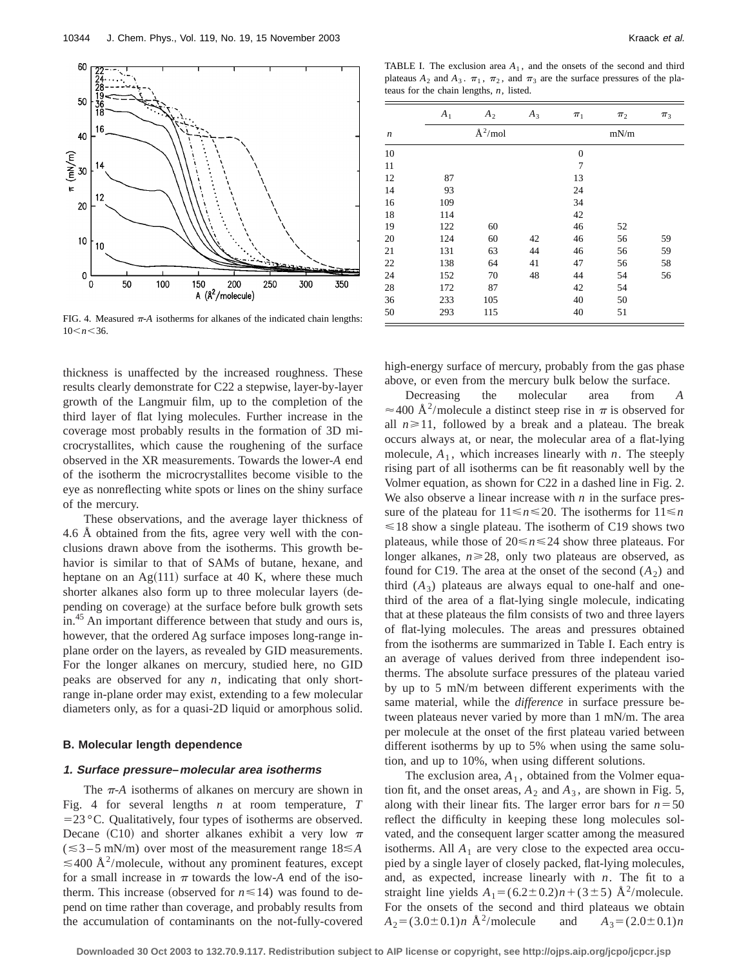

FIG. 4. Measured  $\pi$ -A isotherms for alkanes of the indicated chain lengths:  $10 \le n \le 36$ .

thickness is unaffected by the increased roughness. These results clearly demonstrate for C22 a stepwise, layer-by-layer growth of the Langmuir film, up to the completion of the third layer of flat lying molecules. Further increase in the coverage most probably results in the formation of 3D microcrystallites, which cause the roughening of the surface observed in the XR measurements. Towards the lower-*A* end of the isotherm the microcrystallites become visible to the eye as nonreflecting white spots or lines on the shiny surface of the mercury.

These observations, and the average layer thickness of 4.6 Å obtained from the fits, agree very well with the conclusions drawn above from the isotherms. This growth behavior is similar to that of SAMs of butane, hexane, and heptane on an  $Ag(111)$  surface at 40 K, where these much shorter alkanes also form up to three molecular layers (depending on coverage) at the surface before bulk growth sets in.45 An important difference between that study and ours is, however, that the ordered Ag surface imposes long-range inplane order on the layers, as revealed by GID measurements. For the longer alkanes on mercury, studied here, no GID peaks are observed for any *n*, indicating that only shortrange in-plane order may exist, extending to a few molecular diameters only, as for a quasi-2D liquid or amorphous solid.

## **B. Molecular length dependence**

#### **1. Surface pressure–molecular area isotherms**

The  $\pi$ -*A* isotherms of alkanes on mercury are shown in Fig. 4 for several lengths *n* at room temperature, *T*  $=$  23 °C. Qualitatively, four types of isotherms are observed. Decane (C10) and shorter alkanes exhibit a very low  $\pi$  $(\leq 3 - 5$  mN/m) over most of the measurement range  $18 \leq A$  $\leq$ 400 Å<sup>2</sup>/molecule, without any prominent features, except for a small increase in  $\pi$  towards the low-*A* end of the isotherm. This increase (observed for  $n \le 14$ ) was found to depend on time rather than coverage, and probably results from the accumulation of contaminants on the not-fully-covered

TABLE I. The exclusion area  $A_1$ , and the onsets of the second and third plateaus  $A_2$  and  $A_3$ .  $\pi_1$ ,  $\pi_2$ , and  $\pi_3$  are the surface pressures of the plateaus for the chain lengths, *n*, listed.

|                  | $A_1$ | A <sub>2</sub> | $A_3$ | $\pi_1$        | $\pi_2$ | $\pi_3$ |
|------------------|-------|----------------|-------|----------------|---------|---------|
| $\boldsymbol{n}$ |       | $\AA^2$ /mol   |       |                | mN/m    |         |
| 10               |       |                |       | $\mathbf{0}$   |         |         |
| 11               |       |                |       | $\overline{7}$ |         |         |
| 12               | 87    |                |       | 13             |         |         |
| 14               | 93    |                |       | 24             |         |         |
| 16               | 109   |                |       | 34             |         |         |
| 18               | 114   |                |       | 42             |         |         |
| 19               | 122   | 60             |       | 46             | 52      |         |
| 20               | 124   | 60             | 42    | 46             | 56      | 59      |
| 21               | 131   | 63             | 44    | 46             | 56      | 59      |
| 22               | 138   | 64             | 41    | 47             | 56      | 58      |
| 24               | 152   | 70             | 48    | 44             | 54      | 56      |
| 28               | 172   | 87             |       | 42             | 54      |         |
| 36               | 233   | 105            |       | 40             | 50      |         |
| 50               | 293   | 115            |       | 40             | 51      |         |

high-energy surface of mercury, probably from the gas phase above, or even from the mercury bulk below the surface.

Decreasing the molecular area from *A*  $\approx$  400 Å<sup>2</sup>/molecule a distinct steep rise in  $\pi$  is observed for all  $n \ge 11$ , followed by a break and a plateau. The break occurs always at, or near, the molecular area of a flat-lying molecule,  $A_1$ , which increases linearly with *n*. The steeply rising part of all isotherms can be fit reasonably well by the Volmer equation, as shown for C22 in a dashed line in Fig. 2. We also observe a linear increase with  $n$  in the surface pressure of the plateau for  $11 \le n \le 20$ . The isotherms for  $11 \le n$  $\leq 18$  show a single plateau. The isotherm of C19 shows two plateaus, while those of  $20 \le n \le 24$  show three plateaus. For longer alkanes,  $n \ge 28$ , only two plateaus are observed, as found for C19. The area at the onset of the second  $(A_2)$  and third  $(A_3)$  plateaus are always equal to one-half and onethird of the area of a flat-lying single molecule, indicating that at these plateaus the film consists of two and three layers of flat-lying molecules. The areas and pressures obtained from the isotherms are summarized in Table I. Each entry is an average of values derived from three independent isotherms. The absolute surface pressures of the plateau varied by up to 5 mN/m between different experiments with the same material, while the *difference* in surface pressure between plateaus never varied by more than 1 mN/m. The area per molecule at the onset of the first plateau varied between different isotherms by up to 5% when using the same solution, and up to 10%, when using different solutions.

The exclusion area,  $A_1$ , obtained from the Volmer equation fit, and the onset areas,  $A_2$  and  $A_3$ , are shown in Fig. 5, along with their linear fits. The larger error bars for  $n = 50$ reflect the difficulty in keeping these long molecules solvated, and the consequent larger scatter among the measured isotherms. All  $A_1$  are very close to the expected area occupied by a single layer of closely packed, flat-lying molecules, and, as expected, increase linearly with *n*. The fit to a straight line yields  $A_1 = (6.2 \pm 0.2)n + (3 \pm 5)$  Å<sup>2</sup>/molecule. For the onsets of the second and third plateaus we obtain  $A_2 = (3.0 \pm 0.1)n$  Å<sup>2</sup>/molecule and  $A_3 = (2.0 \pm 0.1)n$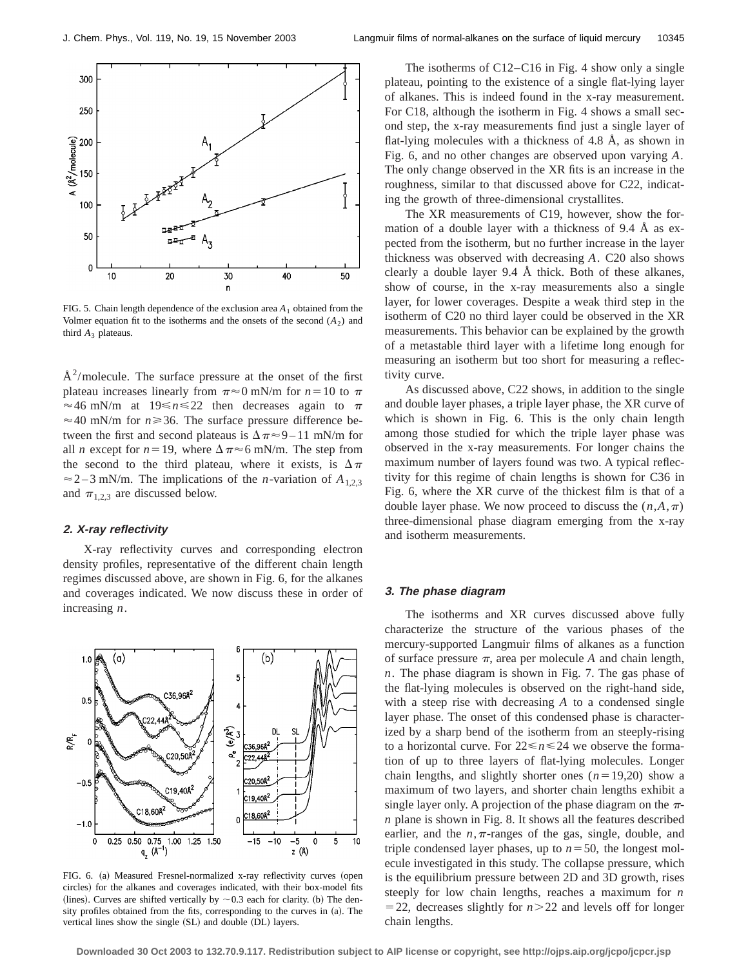

FIG. 5. Chain length dependence of the exclusion area  $A_1$  obtained from the Volmer equation fit to the isotherms and the onsets of the second  $(A_2)$  and third  $A_3$  plateaus.

 $A<sup>2</sup>/molecule.$  The surface pressure at the onset of the first plateau increases linearly from  $\pi \approx 0$  mN/m for  $n=10$  to  $\pi$  $\approx$  46 mN/m at 19 $\leq$ n $\leq$ 22 then decreases again to  $\pi$  $\approx$  40 mN/m for  $n \ge 36$ . The surface pressure difference between the first and second plateaus is  $\Delta \pi \approx 9 - 11$  mN/m for all *n* except for  $n=19$ , where  $\Delta \pi \approx 6$  mN/m. The step from the second to the third plateau, where it exists, is  $\Delta \pi$  $\approx$  2–3 mN/m. The implications of the *n*-variation of  $A_{1,2,3}$ and  $\pi_{1,2,3}$  are discussed below.

## **2. X-ray reflectivity**

X-ray reflectivity curves and corresponding electron density profiles, representative of the different chain length regimes discussed above, are shown in Fig. 6, for the alkanes and coverages indicated. We now discuss these in order of increasing *n*.



FIG. 6. (a) Measured Fresnel-normalized x-ray reflectivity curves (open circles) for the alkanes and coverages indicated, with their box-model fits (lines). Curves are shifted vertically by  $\sim 0.3$  each for clarity. (b) The density profiles obtained from the fits, corresponding to the curves in  $(a)$ . The vertical lines show the single (SL) and double (DL) layers.

The isotherms of C12–C16 in Fig. 4 show only a single plateau, pointing to the existence of a single flat-lying layer of alkanes. This is indeed found in the x-ray measurement. For C18, although the isotherm in Fig. 4 shows a small second step, the x-ray measurements find just a single layer of flat-lying molecules with a thickness of 4.8 Å, as shown in Fig. 6, and no other changes are observed upon varying *A*. The only change observed in the XR fits is an increase in the roughness, similar to that discussed above for C22, indicating the growth of three-dimensional crystallites.

The XR measurements of C19, however, show the formation of a double layer with a thickness of 9.4 Å as expected from the isotherm, but no further increase in the layer thickness was observed with decreasing *A*. C20 also shows clearly a double layer 9.4 Å thick. Both of these alkanes, show of course, in the x-ray measurements also a single layer, for lower coverages. Despite a weak third step in the isotherm of C20 no third layer could be observed in the XR measurements. This behavior can be explained by the growth of a metastable third layer with a lifetime long enough for measuring an isotherm but too short for measuring a reflectivity curve.

As discussed above, C22 shows, in addition to the single and double layer phases, a triple layer phase, the XR curve of which is shown in Fig. 6. This is the only chain length among those studied for which the triple layer phase was observed in the x-ray measurements. For longer chains the maximum number of layers found was two. A typical reflectivity for this regime of chain lengths is shown for C36 in Fig. 6, where the XR curve of the thickest film is that of a double layer phase. We now proceed to discuss the  $(n, A, \pi)$ three-dimensional phase diagram emerging from the x-ray and isotherm measurements.

#### **3. The phase diagram**

The isotherms and XR curves discussed above fully characterize the structure of the various phases of the mercury-supported Langmuir films of alkanes as a function of surface pressure  $\pi$ , area per molecule *A* and chain length, *n*. The phase diagram is shown in Fig. 7. The gas phase of the flat-lying molecules is observed on the right-hand side, with a steep rise with decreasing *A* to a condensed single layer phase. The onset of this condensed phase is characterized by a sharp bend of the isotherm from an steeply-rising to a horizontal curve. For  $22 \le n \le 24$  we observe the formation of up to three layers of flat-lying molecules. Longer chain lengths, and slightly shorter ones  $(n=19,20)$  show a maximum of two layers, and shorter chain lengths exhibit a single layer only. A projection of the phase diagram on the  $\pi$ *n* plane is shown in Fig. 8. It shows all the features described earlier, and the  $n, \pi$ -ranges of the gas, single, double, and triple condensed layer phases, up to  $n=50$ , the longest molecule investigated in this study. The collapse pressure, which is the equilibrium pressure between 2D and 3D growth, rises steeply for low chain lengths, reaches a maximum for *n*  $=$  22, decreases slightly for  $n > 22$  and levels off for longer chain lengths.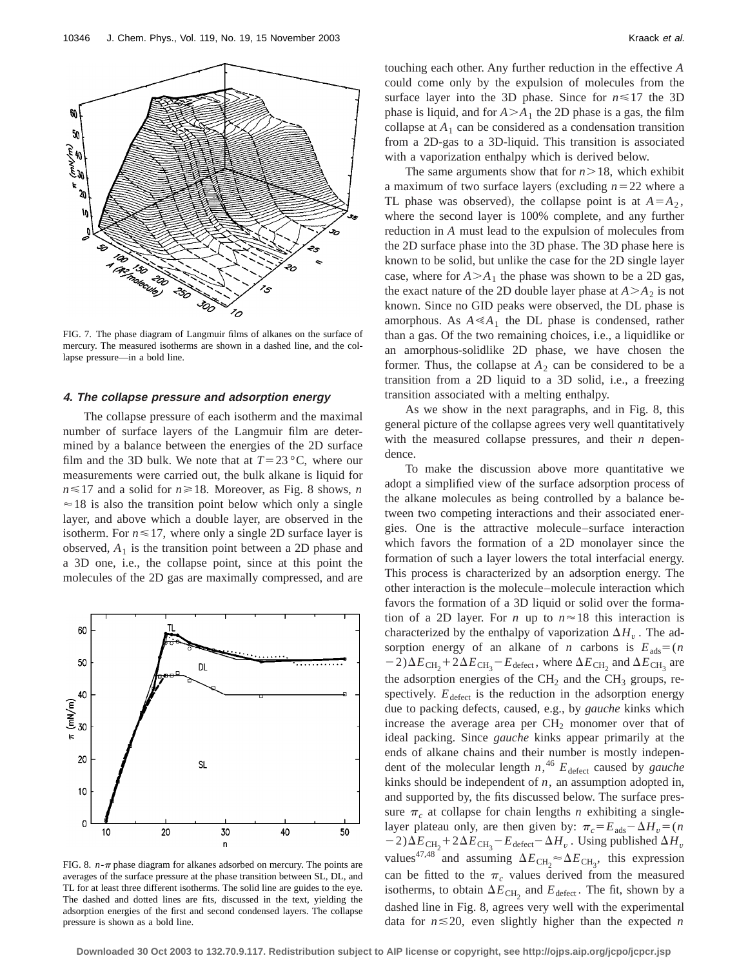

FIG. 7. The phase diagram of Langmuir films of alkanes on the surface of mercury. The measured isotherms are shown in a dashed line, and the collapse pressure—in a bold line.

# **4. The collapse pressure and adsorption energy**

The collapse pressure of each isotherm and the maximal number of surface layers of the Langmuir film are determined by a balance between the energies of the 2D surface film and the 3D bulk. We note that at  $T=23 \degree C$ , where our measurements were carried out, the bulk alkane is liquid for  $n \leq 17$  and a solid for  $n \geq 18$ . Moreover, as Fig. 8 shows, *n*  $\approx$  18 is also the transition point below which only a single layer, and above which a double layer, are observed in the isotherm. For  $n \leq 17$ , where only a single 2D surface layer is observed,  $A_1$  is the transition point between a 2D phase and a 3D one, i.e., the collapse point, since at this point the molecules of the 2D gas are maximally compressed, and are



FIG. 8.  $n-\pi$  phase diagram for alkanes adsorbed on mercury. The points are averages of the surface pressure at the phase transition between SL, DL, and TL for at least three different isotherms. The solid line are guides to the eye. The dashed and dotted lines are fits, discussed in the text, yielding the adsorption energies of the first and second condensed layers. The collapse pressure is shown as a bold line.

touching each other. Any further reduction in the effective *A* could come only by the expulsion of molecules from the surface layer into the 3D phase. Since for  $n \le 17$  the 3D phase is liquid, and for  $A > A_1$  the 2D phase is a gas, the film collapse at  $A_1$  can be considered as a condensation transition from a 2D-gas to a 3D-liquid. This transition is associated with a vaporization enthalpy which is derived below.

The same arguments show that for  $n > 18$ , which exhibit a maximum of two surface layers (excluding  $n=22$  where a TL phase was observed), the collapse point is at  $A = A_2$ , where the second layer is 100% complete, and any further reduction in *A* must lead to the expulsion of molecules from the 2D surface phase into the 3D phase. The 3D phase here is known to be solid, but unlike the case for the 2D single layer case, where for  $A > A_1$  the phase was shown to be a 2D gas, the exact nature of the 2D double layer phase at  $A > A_2$  is not known. Since no GID peaks were observed, the DL phase is amorphous. As  $A \ll A_1$  the DL phase is condensed, rather than a gas. Of the two remaining choices, i.e., a liquidlike or an amorphous-solidlike 2D phase, we have chosen the former. Thus, the collapse at  $A_2$  can be considered to be a transition from a 2D liquid to a 3D solid, i.e., a freezing transition associated with a melting enthalpy.

As we show in the next paragraphs, and in Fig. 8, this general picture of the collapse agrees very well quantitatively with the measured collapse pressures, and their *n* dependence.

To make the discussion above more quantitative we adopt a simplified view of the surface adsorption process of the alkane molecules as being controlled by a balance between two competing interactions and their associated energies. One is the attractive molecule–surface interaction which favors the formation of a 2D monolayer since the formation of such a layer lowers the total interfacial energy. This process is characterized by an adsorption energy. The other interaction is the molecule–molecule interaction which favors the formation of a 3D liquid or solid over the formation of a 2D layer. For *n* up to  $n \approx 18$  this interaction is characterized by the enthalpy of vaporization  $\Delta H$ <sub>*v*</sub>. The adsorption energy of an alkane of *n* carbons is  $E_{ads} = (n \cdot n)$  $(2.2) \Delta E_{\text{CH}_2} + 2 \Delta E_{\text{CH}_3} - E_{\text{defect}}$ , where  $\Delta E_{\text{CH}_2}$  and  $\Delta E_{\text{CH}_3}$  are the adsorption energies of the  $CH<sub>2</sub>$  and the  $CH<sub>3</sub>$  groups, respectively.  $E_{\text{defect}}$  is the reduction in the adsorption energy due to packing defects, caused, e.g., by *gauche* kinks which increase the average area per  $CH<sub>2</sub>$  monomer over that of ideal packing. Since *gauche* kinks appear primarily at the ends of alkane chains and their number is mostly independent of the molecular length *n*, <sup>46</sup> *E*defect caused by *gauche* kinks should be independent of *n*, an assumption adopted in, and supported by, the fits discussed below. The surface pressure  $\pi_c$  at collapse for chain lengths *n* exhibiting a singlelayer plateau only, are then given by:  $\pi_c = E_{ads} - \Delta H_v = (n \Delta)^2$  $(2) \Delta E_{\text{CH}_2} + 2\Delta E_{\text{CH}_3} - E_{\text{defect}} - \Delta H_v$ . Using published  $\Delta H_v$ values<sup>47,48</sup> and assuming  $\Delta E_{\text{CH}_2} \approx \Delta E_{\text{CH}_3}$ , this expression can be fitted to the  $\pi_c$  values derived from the measured isotherms, to obtain  $\Delta E_{\text{CH}_2}$  and  $E_{\text{defect}}$ . The fit, shown by a dashed line in Fig. 8, agrees very well with the experimental data for  $n \le 20$ , even slightly higher than the expected *n* 

**Downloaded 30 Oct 2003 to 132.70.9.117. Redistribution subject to AIP license or copyright, see http://ojps.aip.org/jcpo/jcpcr.jsp**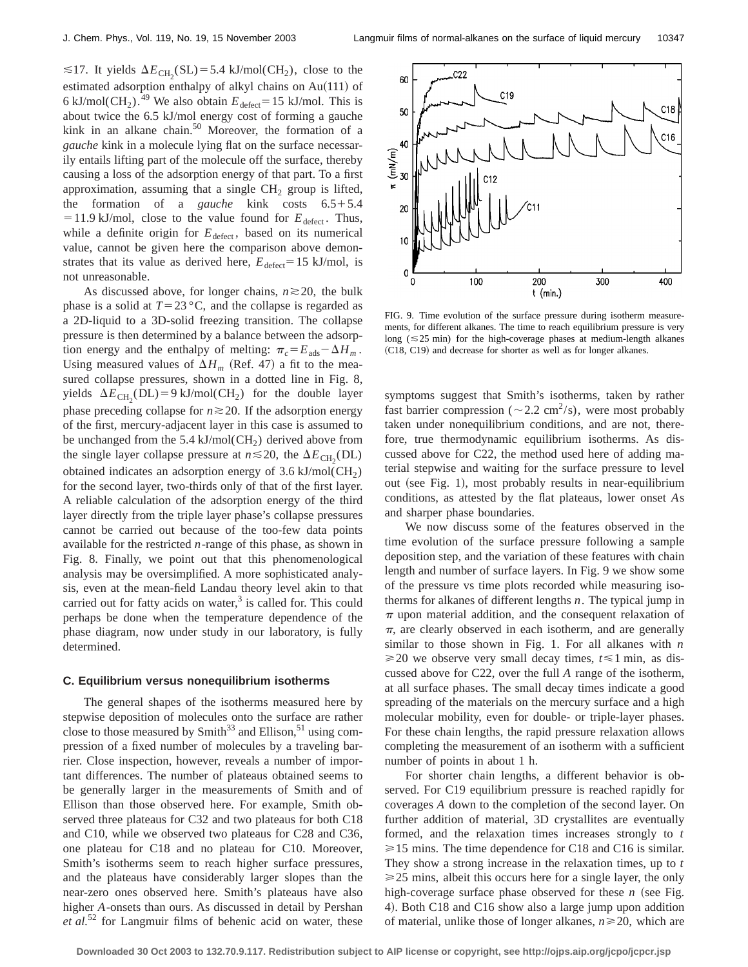$\leq$ 17. It yields  $\Delta E_{\text{CH}_2}(\text{SL})$  = 5.4 kJ/mol(CH<sub>2</sub>), close to the estimated adsorption enthalpy of alkyl chains on  $Au(111)$  of 6 kJ/mol(CH<sub>2</sub>).<sup>49</sup> We also obtain  $E_{\text{defect}}=15$  kJ/mol. This is about twice the 6.5 kJ/mol energy cost of forming a gauche kink in an alkane chain. $50$  Moreover, the formation of a *gauche* kink in a molecule lying flat on the surface necessarily entails lifting part of the molecule off the surface, thereby causing a loss of the adsorption energy of that part. To a first approximation, assuming that a single  $CH<sub>2</sub>$  group is lifted, the formation of a *gauche* kink costs  $6.5+5.4$  $=$  11.9 kJ/mol, close to the value found for  $E_{\text{defect}}$ . Thus, while a definite origin for  $E_{\text{defect}}$ , based on its numerical value, cannot be given here the comparison above demonstrates that its value as derived here,  $E_{\text{defect}}=15 \text{ kJ/mol}$ , is not unreasonable.

As discussed above, for longer chains,  $n \ge 20$ , the bulk phase is a solid at  $T=23 \degree C$ , and the collapse is regarded as a 2D-liquid to a 3D-solid freezing transition. The collapse pressure is then determined by a balance between the adsorption energy and the enthalpy of melting:  $\pi_c = E_{ads} - \Delta H_m$ . Using measured values of  $\Delta H_m$  (Ref. 47) a fit to the measured collapse pressures, shown in a dotted line in Fig. 8, yields  $\Delta E_{\text{CH}_2}(\text{DL}) = 9 \text{ kJ/mol}(\text{CH}_2)$  for the double layer phase preceding collapse for  $n \ge 20$ . If the adsorption energy of the first, mercury-adjacent layer in this case is assumed to be unchanged from the 5.4 kJ/mol( $CH<sub>2</sub>$ ) derived above from the single layer collapse pressure at  $n \le 20$ , the  $\Delta E_{\text{CH}_2}(\text{DL})$ obtained indicates an adsorption energy of  $3.6 \text{ kJ/mol}$  (CH<sub>2</sub>) for the second layer, two-thirds only of that of the first layer. A reliable calculation of the adsorption energy of the third layer directly from the triple layer phase's collapse pressures cannot be carried out because of the too-few data points available for the restricted *n*-range of this phase, as shown in Fig. 8. Finally, we point out that this phenomenological analysis may be oversimplified. A more sophisticated analysis, even at the mean-field Landau theory level akin to that carried out for fatty acids on water, $3$  is called for. This could perhaps be done when the temperature dependence of the phase diagram, now under study in our laboratory, is fully determined.

#### **C. Equilibrium versus nonequilibrium isotherms**

The general shapes of the isotherms measured here by stepwise deposition of molecules onto the surface are rather close to those measured by Smith<sup>33</sup> and Ellison,<sup>51</sup> using compression of a fixed number of molecules by a traveling barrier. Close inspection, however, reveals a number of important differences. The number of plateaus obtained seems to be generally larger in the measurements of Smith and of Ellison than those observed here. For example, Smith observed three plateaus for C32 and two plateaus for both C18 and C10, while we observed two plateaus for C28 and C36, one plateau for C18 and no plateau for C10. Moreover, Smith's isotherms seem to reach higher surface pressures, and the plateaus have considerably larger slopes than the near-zero ones observed here. Smith's plateaus have also higher *A*-onsets than ours. As discussed in detail by Pershan *et al.*<sup>52</sup> for Langmuir films of behenic acid on water, these



FIG. 9. Time evolution of the surface pressure during isotherm measurements, for different alkanes. The time to reach equilibrium pressure is very long ( $\leq$ 25 min) for the high-coverage phases at medium-length alkanes (C18, C19) and decrease for shorter as well as for longer alkanes.

symptoms suggest that Smith's isotherms, taken by rather fast barrier compression ( $\sim$  2.2 cm<sup>2</sup>/s), were most probably taken under nonequilibrium conditions, and are not, therefore, true thermodynamic equilibrium isotherms. As discussed above for C22, the method used here of adding material stepwise and waiting for the surface pressure to level out (see Fig. 1), most probably results in near-equilibrium conditions, as attested by the flat plateaus, lower onset *A*s and sharper phase boundaries.

We now discuss some of the features observed in the time evolution of the surface pressure following a sample deposition step, and the variation of these features with chain length and number of surface layers. In Fig. 9 we show some of the pressure vs time plots recorded while measuring isotherms for alkanes of different lengths *n*. The typical jump in  $\pi$  upon material addition, and the consequent relaxation of  $\pi$ , are clearly observed in each isotherm, and are generally similar to those shown in Fig. 1. For all alkanes with *n*  $\geq$ 20 we observe very small decay times,  $t \leq 1$  min, as discussed above for C22, over the full *A* range of the isotherm, at all surface phases. The small decay times indicate a good spreading of the materials on the mercury surface and a high molecular mobility, even for double- or triple-layer phases. For these chain lengths, the rapid pressure relaxation allows completing the measurement of an isotherm with a sufficient number of points in about 1 h.

For shorter chain lengths, a different behavior is observed. For C19 equilibrium pressure is reached rapidly for coverages *A* down to the completion of the second layer. On further addition of material, 3D crystallites are eventually formed, and the relaxation times increases strongly to *t*  $\geq 15$  mins. The time dependence for C18 and C16 is similar. They show a strong increase in the relaxation times, up to *t*  $\geq$  25 mins, albeit this occurs here for a single layer, the only high-coverage surface phase observed for these  $n$  (see Fig. 4). Both C18 and C16 show also a large jump upon addition of material, unlike those of longer alkanes,  $n \ge 20$ , which are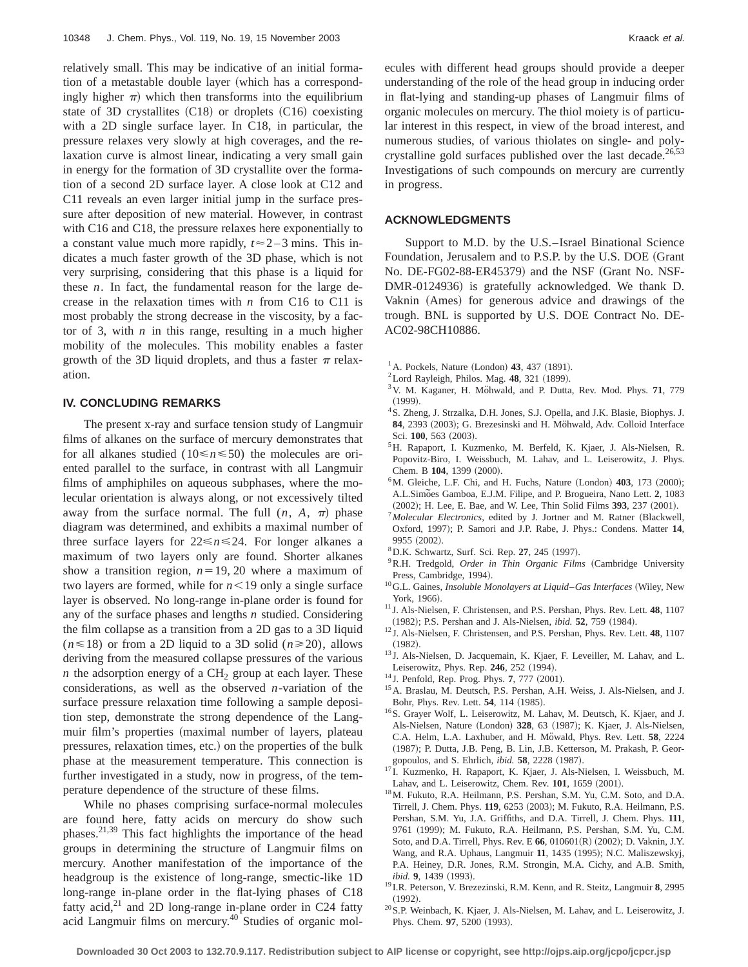relatively small. This may be indicative of an initial formation of a metastable double layer (which has a correspondingly higher  $\pi$ ) which then transforms into the equilibrium state of 3D crystallites  $(C18)$  or droplets  $(C16)$  coexisting with a 2D single surface layer. In C18, in particular, the pressure relaxes very slowly at high coverages, and the relaxation curve is almost linear, indicating a very small gain in energy for the formation of 3D crystallite over the formation of a second 2D surface layer. A close look at C12 and C11 reveals an even larger initial jump in the surface pressure after deposition of new material. However, in contrast with C16 and C18, the pressure relaxes here exponentially to a constant value much more rapidly,  $t \approx 2-3$  mins. This indicates a much faster growth of the 3D phase, which is not very surprising, considering that this phase is a liquid for these *n*. In fact, the fundamental reason for the large decrease in the relaxation times with *n* from C16 to C11 is most probably the strong decrease in the viscosity, by a factor of 3, with *n* in this range, resulting in a much higher mobility of the molecules. This mobility enables a faster growth of the 3D liquid droplets, and thus a faster  $\pi$  relaxation.

## **IV. CONCLUDING REMARKS**

The present x-ray and surface tension study of Langmuir films of alkanes on the surface of mercury demonstrates that for all alkanes studied  $(10 \le n \le 50)$  the molecules are oriented parallel to the surface, in contrast with all Langmuir films of amphiphiles on aqueous subphases, where the molecular orientation is always along, or not excessively tilted away from the surface normal. The full  $(n, A, \pi)$  phase diagram was determined, and exhibits a maximal number of three surface layers for  $22 \le n \le 24$ . For longer alkanes a maximum of two layers only are found. Shorter alkanes show a transition region,  $n=19, 20$  where a maximum of two layers are formed, while for  $n < 19$  only a single surface layer is observed. No long-range in-plane order is found for any of the surface phases and lengths *n* studied. Considering the film collapse as a transition from a 2D gas to a 3D liquid  $(n \le 18)$  or from a 2D liquid to a 3D solid  $(n \ge 20)$ , allows deriving from the measured collapse pressures of the various *n* the adsorption energy of a  $CH<sub>2</sub>$  group at each layer. These considerations, as well as the observed *n*-variation of the surface pressure relaxation time following a sample deposition step, demonstrate the strong dependence of the Langmuir film's properties (maximal number of layers, plateau pressures, relaxation times, etc.) on the properties of the bulk phase at the measurement temperature. This connection is further investigated in a study, now in progress, of the temperature dependence of the structure of these films.

While no phases comprising surface-normal molecules are found here, fatty acids on mercury do show such phases.<sup>21,39</sup> This fact highlights the importance of the head groups in determining the structure of Langmuir films on mercury. Another manifestation of the importance of the headgroup is the existence of long-range, smectic-like 1D long-range in-plane order in the flat-lying phases of C18 fatty acid, $21$  and 2D long-range in-plane order in C24 fatty acid Langmuir films on mercury.40 Studies of organic molecules with different head groups should provide a deeper understanding of the role of the head group in inducing order in flat-lying and standing-up phases of Langmuir films of organic molecules on mercury. The thiol moiety is of particular interest in this respect, in view of the broad interest, and numerous studies, of various thiolates on single- and polycrystalline gold surfaces published over the last decade.<sup>26,53</sup> Investigations of such compounds on mercury are currently in progress.

## **ACKNOWLEDGMENTS**

Support to M.D. by the U.S.–Israel Binational Science Foundation, Jerusalem and to P.S.P. by the U.S. DOE (Grant No. DE-FG02-88-ER45379) and the NSF (Grant No. NSF-DMR-0124936) is gratefully acknowledged. We thank D. Vaknin (Ames) for generous advice and drawings of the trough. BNL is supported by U.S. DOE Contract No. DE-AC02-98CH10886.

- $^{1}$ A. Pockels, Nature (London) 43, 437 (1891).
- $2$ Lord Rayleigh, Philos. Mag. 48, 321 (1899).
- <sup>3</sup> V. M. Kaganer, H. Möhwald, and P. Dutta, Rev. Mod. Phys. 71, 779  $(1999).$
- <sup>4</sup> S. Zheng, J. Strzalka, D.H. Jones, S.J. Opella, and J.K. Blasie, Biophys. J. 84, 2393 (2003); G. Brezesinski and H. Möhwald, Adv. Colloid Interface Sci. 100, 563 (2003).
- 5H. Rapaport, I. Kuzmenko, M. Berfeld, K. Kjaer, J. Als-Nielsen, R. Popovitz-Biro, I. Weissbuch, M. Lahav, and L. Leiserowitz, J. Phys. Chem. B 104, 1399 (2000).
- <sup>6</sup>M. Gleiche, L.F. Chi, and H. Fuchs, Nature (London) **403**, 173 (2000); A.L.Simões Gamboa, E.J.M. Filipe, and P. Brogueira, Nano Lett. 2, 1083 (2002); H. Lee, E. Bae, and W. Lee, Thin Solid Films 393, 237 (2001).
- <sup>7</sup> Molecular Electronics, edited by J. Jortner and M. Ratner (Blackwell, Oxford, 1997); P. Samori and J.P. Rabe, J. Phys.: Condens. Matter 14, 9955 (2002).
- <sup>8</sup> D.K. Schwartz, Surf. Sci. Rep. 27, 245 (1997).
- <sup>9</sup> R.H. Tredgold, Order in Thin Organic Films (Cambridge University Press, Cambridge, 1994).
- <sup>10</sup>G.L. Gaines, *Insoluble Monolayers at Liquid–Gas Interfaces* (Wiley, New York, 1966).
- <sup>11</sup> J. Als-Nielsen, F. Christensen, and P.S. Pershan, Phys. Rev. Lett. **48**, 1107 (1982); P.S. Pershan and J. Als-Nielsen, *ibid.* 52, 759 (1984).
- <sup>12</sup> J. Als-Nielsen, F. Christensen, and P.S. Pershan, Phys. Rev. Lett. **48**, 1107  $(1982).$
- <sup>13</sup> J. Als-Nielsen, D. Jacquemain, K. Kjaer, F. Leveiller, M. Lahav, and L. Leiserowitz, Phys. Rep. 246, 252 (1994).
- <sup>14</sup> J. Penfold, Rep. Prog. Phys. 7, 777 (2001).
- 15A. Braslau, M. Deutsch, P.S. Pershan, A.H. Weiss, J. Als-Nielsen, and J. Bohr, Phys. Rev. Lett. **54**, 114 (1985).
- 16S. Grayer Wolf, L. Leiserowitz, M. Lahav, M. Deutsch, K. Kjaer, and J. Als-Nielsen, Nature (London) 328, 63 (1987); K. Kjaer, J. Als-Nielsen, C.A. Helm, L.A. Laxhuber, and H. Möwald, Phys. Rev. Lett. 58, 2224 (1987); P. Dutta, J.B. Peng, B. Lin, J.B. Ketterson, M. Prakash, P. Georgopoulos, and S. Ehrlich, *ibid.* 58, 2228 (1987).
- <sup>17</sup> I. Kuzmenko, H. Rapaport, K. Kjaer, J. Als-Nielsen, I. Weissbuch, M. Lahav, and L. Leiserowitz, Chem. Rev. 101, 1659 (2001).
- 18M. Fukuto, R.A. Heilmann, P.S. Pershan, S.M. Yu, C.M. Soto, and D.A. Tirrell, J. Chem. Phys. 119, 6253 (2003); M. Fukuto, R.A. Heilmann, P.S. Pershan, S.M. Yu, J.A. Griffiths, and D.A. Tirrell, J. Chem. Phys. **111**, 9761 (1999); M. Fukuto, R.A. Heilmann, P.S. Pershan, S.M. Yu, C.M. Soto, and D.A. Tirrell, Phys. Rev. E 66, 010601(R) (2002); D. Vaknin, J.Y. Wang, and R.A. Uphaus, Langmuir 11, 1435 (1995); N.C. Maliszewskyj, P.A. Heiney, D.R. Jones, R.M. Strongin, M.A. Cichy, and A.B. Smith, *ibid.* 9, 1439 (1993).
- <sup>19</sup> I.R. Peterson, V. Brezezinski, R.M. Kenn, and R. Steitz, Langmuir **8**, 2995  $(1992).$
- 20S.P. Weinbach, K. Kjaer, J. Als-Nielsen, M. Lahav, and L. Leiserowitz, J. Phys. Chem. 97, 5200 (1993).